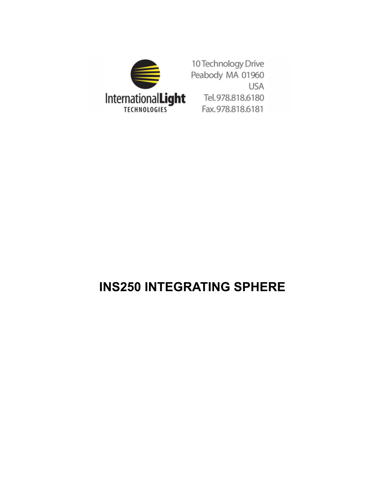

10 Technology Drive Peabody MA 01960 **USA** Tel.978.818.6180 Fax.978.818.6181

# **INS250 INTEGRATING SPHERE**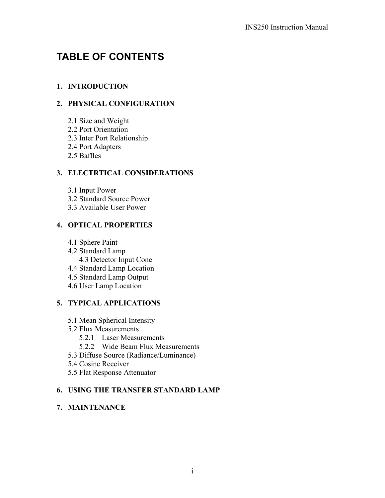# **TABLE OF CONTENTS**

# **1. INTRODUCTION**

# **2. PHYSICAL CONFIGURATION**

- 2.1 Size and Weight
- 2.2 Port Orientation
- 2.3 Inter Port Relationship
- 2.4 Port Adapters
- 2.5 Baffles

# **3. ELECTRTICAL CONSIDERATIONS**

- 3.1 Input Power
- 3.2 Standard Source Power
- 3.3 Available User Power

# **4. OPTICAL PROPERTIES**

- 4.1 Sphere Paint
- 4.2 Standard Lamp 4.3 Detector Input Cone
- 4.4 Standard Lamp Location
- 4.5 Standard Lamp Output
- 4.6 User Lamp Location

# **5. TYPICAL APPLICATIONS**

- 5.1 Mean Spherical Intensity
- 5.2 Flux Measurements
	- 5.2.1 Laser Measurements
	- 5.2.2 Wide Beam Flux Measurements
- 5.3 Diffuse Source (Radiance/Luminance)
- 5.4 Cosine Receiver
- 5.5 Flat Response Attenuator

### **6. USING THE TRANSFER STANDARD LAMP**

### **7. MAINTENANCE**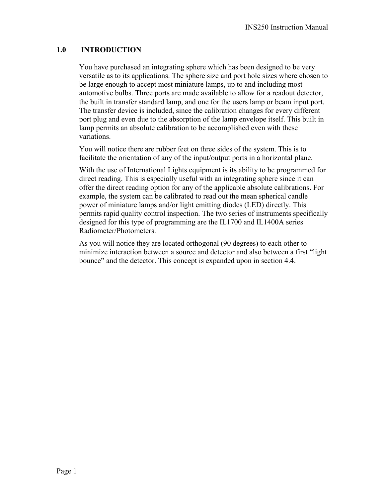### **1.0 INTRODUCTION**

You have purchased an integrating sphere which has been designed to be very versatile as to its applications. The sphere size and port hole sizes where chosen to be large enough to accept most miniature lamps, up to and including most automotive bulbs. Three ports are made available to allow for a readout detector, the built in transfer standard lamp, and one for the users lamp or beam input port. The transfer device is included, since the calibration changes for every different port plug and even due to the absorption of the lamp envelope itself. This built in lamp permits an absolute calibration to be accomplished even with these variations.

You will notice there are rubber feet on three sides of the system. This is to facilitate the orientation of any of the input/output ports in a horizontal plane.

With the use of International Lights equipment is its ability to be programmed for direct reading. This is especially useful with an integrating sphere since it can offer the direct reading option for any of the applicable absolute calibrations. For example, the system can be calibrated to read out the mean spherical candle power of miniature lamps and/or light emitting diodes (LED) directly. This permits rapid quality control inspection. The two series of instruments specifically designed for this type of programming are the IL1700 and IL1400A series Radiometer/Photometers.

As you will notice they are located orthogonal (90 degrees) to each other to minimize interaction between a source and detector and also between a first "light bounce" and the detector. This concept is expanded upon in section 4.4.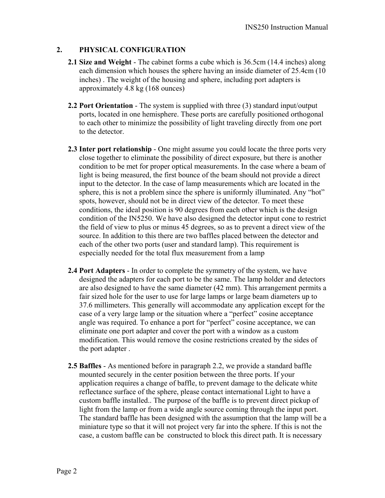#### **2. PHYSICAL CONFIGURATION**

- **2.1 Size and Weight** The cabinet forms a cube which is 36.5cm (14.4 inches) along each dimension which houses the sphere having an inside diameter of 25.4cm (10 inches) . The weight of the housing and sphere, including port adapters is approximately 4.8 kg (168 ounces)
- **2.2 Port Orientation** The system is supplied with three (3) standard input/output ports, located in one hemisphere. These ports are carefully positioned orthogonal to each other to minimize the possibility of light traveling directly from one port to the detector.
- **2.3 Inter port relationship** One might assume you could locate the three ports very close together to eliminate the possibility of direct exposure, but there is another condition to be met for proper optical measurements. In the case where a beam of light is being measured, the first bounce of the beam should not provide a direct input to the detector. In the case of lamp measurements which are located in the sphere, this is not a problem since the sphere is uniformly illuminated. Any "hot" spots, however, should not be in direct view of the detector. To meet these conditions, the ideal position is 90 degrees from each other which is the design condition of the IN5250. We have also designed the detector input cone to restrict the field of view to plus or minus 45 degrees, so as to prevent a direct view of the source. In addition to this there are two baffles placed between the detector and each of the other two ports (user and standard lamp). This requirement is especially needed for the total flux measurement from a lamp
- **2.4 Port Adapters** In order to complete the symmetry of the system, we have designed the adapters for each port to be the same. The lamp holder and detectors are also designed to have the same diameter (42 mm). This arrangement permits a fair sized hole for the user to use for large lamps or large beam diameters up to 37.6 millimeters. This generally will accommodate any application except for the case of a very large lamp or the situation where a "perfect" cosine acceptance angle was required. To enhance a port for "perfect" cosine acceptance, we can eliminate one port adapter and cover the port with a window as a custom modification. This would remove the cosine restrictions created by the sides of the port adapter .
- **2.5 Baffles** As mentioned before in paragraph 2.2, we provide a standard baffle mounted securely in the center position between the three ports. If your application requires a change of baffle, to prevent damage to the delicate white reflectance surface of the sphere, please contact international Light to have a custom baffle installed.. The purpose of the baffle is to prevent direct pickup of light from the lamp or from a wide angle source coming through the input port. The standard baffle has been designed with the assumption that the lamp will be a miniature type so that it will not project very far into the sphere. If this is not the case, a custom baffle can be constructed to block this direct path. It is necessary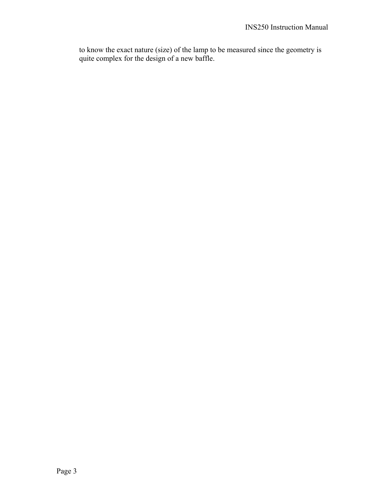to know the exact nature (size) of the lamp to be measured since the geometry is quite complex for the design of a new baffle.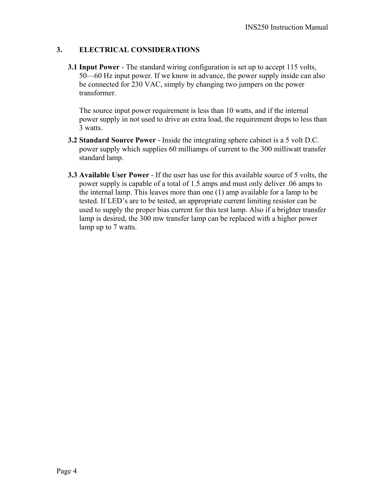### **3. ELECTRICAL CONSIDERATIONS**

**3.1 Input Power** - The standard wiring configuration is set up to accept 115 volts, 50—60 Hz input power. If we know in advance, the power supply inside can also be connected for 230 VAC, simply by changing two jumpers on the power transformer.

The source input power requirement is less than 10 watts, and if the internal power supply in not used to drive an extra load, the requirement drops to less than 3 watts.

- **3.2 Standard Source Power** Inside the integrating sphere cabinet is a 5 volt D.C. power supply which supplies 60 milliamps of current to the 300 milliwatt transfer standard lamp.
- **3.3 Available User Power** If the user has use for this available source of 5 volts, the power supply is capable of a total of 1.5 amps and must only deliver .06 amps to the internal lamp. This leaves more than one (1) amp available for a lamp to be tested. If LED's are to be tested, an appropriate current limiting resistor can be used to supply the proper bias current for this test lamp. Also if a brighter transfer lamp is desired, the 300 mw transfer lamp can be replaced with a higher power lamp up to 7 watts.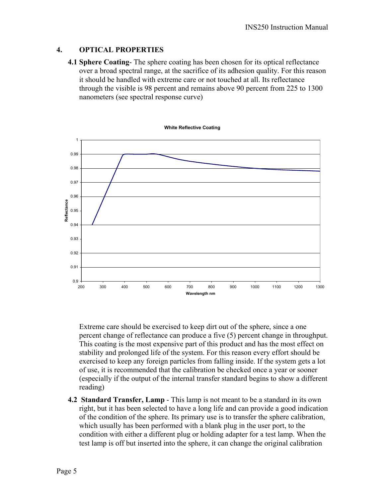#### **4. OPTICAL PROPERTIES**

**4.1 Sphere Coating**- The sphere coating has been chosen for its optical reflectance over a broad spectral range, at the sacrifice of its adhesion quality. For this reason it should be handled with extreme care or not touched at all. Its reflectance through the visible is 98 percent and remains above 90 percent from 225 to 1300 nanometers (see spectral response curve)



Extreme care should be exercised to keep dirt out of the sphere, since a one percent change of reflectance can produce a five (5) percent change in throughput. This coating is the most expensive part of this product and has the most effect on stability and prolonged life of the system. For this reason every effort should be exercised to keep any foreign particles from falling inside. If the system gets a lot of use, it is recommended that the calibration be checked once a year or sooner (especially if the output of the internal transfer standard begins to show a different reading)

**4.2 Standard Transfer, Lamp** - This lamp is not meant to be a standard in its own right, but it has been selected to have a long life and can provide a good indication of the condition of the sphere. Its primary use is to transfer the sphere calibration, which usually has been performed with a blank plug in the user port, to the condition with either a different plug or holding adapter for a test lamp. When the test lamp is off but inserted into the sphere, it can change the original calibration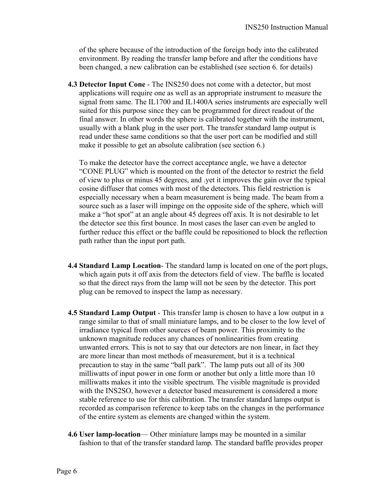of the sphere because of the introduction of the foreign body into the calibrated environment. By reading the transfer lamp before and after the conditions have been changed, a new calibration can be established (see section 6. for details)

**4.3 Detector Input Cone** - The INS250 does not come with a detector, but most applications will require one as well as an appropriate instrument to measure the signal from same. The IL1700 and IL1400A series instruments are especially well suited for this purpose since they can be programmed for direct readout of the final answer. In other words the sphere is calibrated together with the instrument, usually with a blank plug in the user port. The transfer standard lamp output is read under these same conditions so that the user port can be modified and still make it possible to get an absolute calibration (see section 6.)

To make the detector have the correct acceptance angle, we have a detector "CONE PLUG" which is mounted on the front of the detector to restrict the field of view to plus or minus 45 degrees, and .yet it improves the gain over the typical cosine diffuser that comes with most of the detectors. This field restriction is especially necessary when a beam measurement is being made. The beam from a source such as a laser will impinge on the opposite side of the sphere, which will make a "hot spot" at an angle about 45 degrees off axis. It is not desirable to let the detector see this first bounce. In most cases the laser can even be angled to further reduce this effect or the baffle could be repositioned to block the reflection path rather than the input port path.

- **4.4 Standard Lamp Location** The standard lamp is located on one of the port plugs, which again puts it off axis from the detectors field of view. The baffle is located so that the direct rays from the lamp will not be seen by the detector. This port plug can be removed to inspect the lamp as necessary.
- **4.5 Standard Lamp Output** This transfer lamp is chosen to have a low output in a range similar to that of small miniature lamps, and to be closer to the low level of irradiance typical from other sources of beam power. This proximity to the unknown magnitude reduces any chances of nonlinearities from creating unwanted errors. This is not to say that our detectors are non linear, in fact they are more linear than most methods of measurement, but it is a technical precaution to stay in the same "ball park". The lamp puts out all of its 300 milliwatts of input power in one form or another but only a little more than 10 milliwatts makes it into the visible spectrum. The visible magnitude is provided with the INS2SO, however a detector based measurement is considered a more stable reference to use for this calibration. The transfer standard lamps output is recorded as comparison reference to keep tabs on the changes in the performance of the entire system as elements are changed within the system.
- **4.6 User lamp-location** Other miniature lamps may be mounted in a similar fashion to that of the transfer standard lamp. The standard baffle provides proper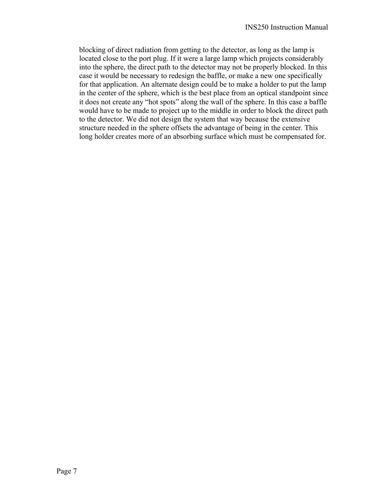blocking of direct radiation from getting to the detector, as long as the lamp is located close to the port plug. If it were a large lamp which projects considerably into the sphere, the direct path to the detector may not be properly blocked. In this case it would be necessary to redesign the baffle, or make a new one specifically for that application. An alternate design could be to make a holder to put the lamp in the center of the sphere, which is the best place from an optical standpoint since it does not create any "hot spots" along the wall of the sphere. In this case a baffle would have to be made to project up to the middle in order to block the direct path to the detector. We did not design the system that way because the extensive structure needed in the sphere offsets the advantage of being in the center. This long holder creates more of an absorbing surface which must be compensated for.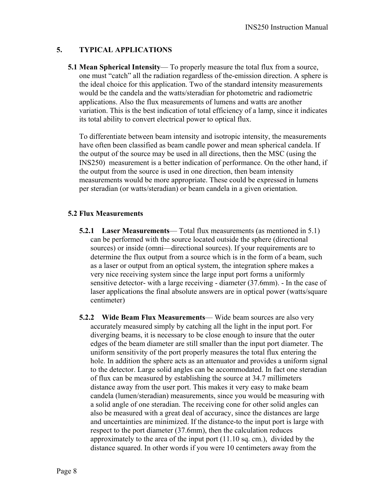#### **5. TYPICAL APPLICATIONS**

**5.1 Mean Spherical Intensity**— To properly measure the total flux from a source, one must "catch" all the radiation regardless of the-emission direction. A sphere is the ideal choice for this application. Two of the standard intensity measurements would be the candela and the watts/steradian for photometric and radiometric applications. Also the flux measurements of lumens and watts are another variation. This is the best indication of total efficiency of a lamp, since it indicates its total ability to convert electrical power to optical flux.

To differentiate between beam intensity and isotropic intensity, the measurements have often been classified as beam candle power and mean spherical candela. If the output of the source may be used in all directions, then the MSC (using the INS250) measurement is a better indication of performance. On the other hand, if the output from the source is used in one direction, then beam intensity measurements would be more appropriate. These could be expressed in lumens per steradian (or watts/steradian) or beam candela in a given orientation.

#### **5.2 Flux Measurements**

- **5.2.1 Laser Measurements** Total flux measurements (as mentioned in 5.1) can be performed with the source located outside the sphere (directional sources) or inside (omni—directional sources). If your requirements are to determine the flux output from a source which is in the form of a beam, such as a laser or output from an optical system, the integration sphere makes a very nice receiving system since the large input port forms a uniformly sensitive detector- with a large receiving - diameter (37.6mm). - In the case of laser applications the final absolute answers are in optical power (watts/square centimeter)
- **5.2.2 Wide Beam Flux Measurements** Wide beam sources are also very accurately measured simply by catching all the light in the input port. For diverging beams, it is necessary to be close enough to insure that the outer edges of the beam diameter are still smaller than the input port diameter. The uniform sensitivity of the port properly measures the total flux entering the hole. In addition the sphere acts as an attenuator and provides a uniform signal to the detector. Large solid angles can be accommodated. In fact one steradian of flux can be measured by establishing the source at 34.7 millimeters distance away from the user port. This makes it very easy to make beam candela (lumen/steradian) measurements, since you would be measuring with a solid angle of one steradian. The receiving cone for other solid angles can also be measured with a great deal of accuracy, since the distances are large and uncertainties are minimized. If the distance-to the input port is large with respect to the port diameter (37.6mm), then the calculation reduces approximately to the area of the input port (11.10 sq. cm.), divided by the distance squared. In other words if you were 10 centimeters away from the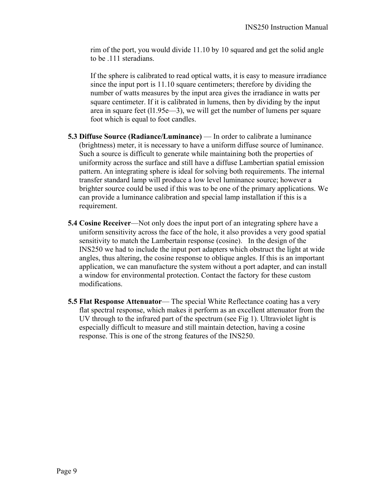rim of the port, you would divide 11.10 by 10 squared and get the solid angle to be .111 steradians.

If the sphere is calibrated to read optical watts, it is easy to measure irradiance since the input port is 11.10 square centimeters; therefore by dividing the number of watts measures by the input area gives the irradiance in watts per square centimeter. If it is calibrated in lumens, then by dividing by the input area in square feet (l1.95e—3), we will get the number of lumens per square foot which is equal to foot candles.

- **5.3 Diffuse Source (Radiance/Luminance)** In order to calibrate a luminance (brightness) meter, it is necessary to have a uniform diffuse source of luminance. Such a source is difficult to generate while maintaining both the properties of uniformity across the surface and still have a diffuse Lambertian spatial emission pattern. An integrating sphere is ideal for solving both requirements. The internal transfer standard lamp will produce a low level luminance source; however a brighter source could be used if this was to be one of the primary applications. We can provide a luminance calibration and special lamp installation if this is a requirement.
- **5.4 Cosine Receiver**—Not only does the input port of an integrating sphere have a uniform sensitivity across the face of the hole, it also provides a very good spatial sensitivity to match the Lambertain response (cosine). In the design of the INS250 we had to include the input port adapters which obstruct the light at wide angles, thus altering, the cosine response to oblique angles. If this is an important application, we can manufacture the system without a port adapter, and can install a window for environmental protection. Contact the factory for these custom modifications.
- **5.5 Flat Response Attenuator—** The special White Reflectance coating has a very flat spectral response, which makes it perform as an excellent attenuator from the UV through to the infrared part of the spectrum (see Fig 1). Ultraviolet light is especially difficult to measure and still maintain detection, having a cosine response. This is one of the strong features of the INS250.